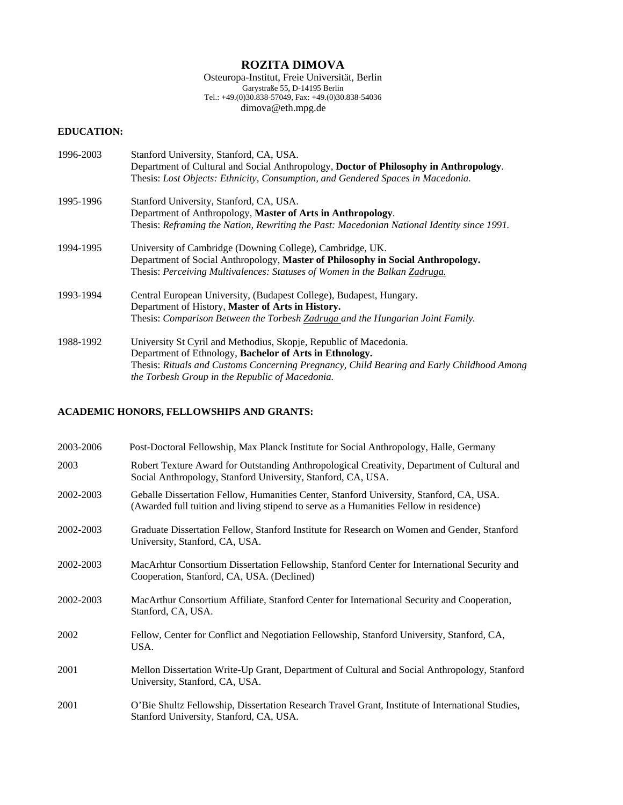# **ROZITA DIMOVA**

Osteuropa-Institut, Freie Universität, Berlin Garystraße 55, D-14195 Berlin Tel.: +49.(0)30.838-57049, Fax: +49.(0)30.838-54036 dimova@eth.mpg.de

# **EDUCATION:**

| 1996-2003 | Stanford University, Stanford, CA, USA.                                                    |
|-----------|--------------------------------------------------------------------------------------------|
|           | Department of Cultural and Social Anthropology, Doctor of Philosophy in Anthropology.      |
|           | Thesis: Lost Objects: Ethnicity, Consumption, and Gendered Spaces in Macedonia.            |
| 1995-1996 | Stanford University, Stanford, CA, USA.                                                    |
|           | Department of Anthropology, Master of Arts in Anthropology.                                |
|           | Thesis: Reframing the Nation, Rewriting the Past: Macedonian National Identity since 1991. |
| 1994-1995 | University of Cambridge (Downing College), Cambridge, UK.                                  |
|           | Department of Social Anthropology, Master of Philosophy in Social Anthropology.            |
|           | Thesis: Perceiving Multivalences: Statuses of Women in the Balkan Zadruga.                 |
| 1993-1994 | Central European University, (Budapest College), Budapest, Hungary.                        |
|           | Department of History, Master of Arts in History.                                          |
|           | Thesis: Comparison Between the Torbesh Zadruga and the Hungarian Joint Family.             |
| 1988-1992 | University St Cyril and Methodius, Skopje, Republic of Macedonia.                          |
|           | Department of Ethnology, Bachelor of Arts in Ethnology.                                    |
|           | Thesis: Rituals and Customs Concerning Pregnancy, Child Bearing and Early Childhood Among  |
|           | the Torbesh Group in the Republic of Macedonia.                                            |

### **ACADEMIC HONORS, FELLOWSHIPS AND GRANTS:**

| 2003-2006 | Post-Doctoral Fellowship, Max Planck Institute for Social Anthropology, Halle, Germany                                                                                            |
|-----------|-----------------------------------------------------------------------------------------------------------------------------------------------------------------------------------|
| 2003      | Robert Texture Award for Outstanding Anthropological Creativity, Department of Cultural and<br>Social Anthropology, Stanford University, Stanford, CA, USA.                       |
| 2002-2003 | Geballe Dissertation Fellow, Humanities Center, Stanford University, Stanford, CA, USA.<br>(Awarded full tuition and living stipend to serve as a Humanities Fellow in residence) |
| 2002-2003 | Graduate Dissertation Fellow, Stanford Institute for Research on Women and Gender, Stanford<br>University, Stanford, CA, USA.                                                     |
| 2002-2003 | MacArhtur Consortium Dissertation Fellowship, Stanford Center for International Security and<br>Cooperation, Stanford, CA, USA. (Declined)                                        |
| 2002-2003 | MacArthur Consortium Affiliate, Stanford Center for International Security and Cooperation,<br>Stanford, CA, USA.                                                                 |
| 2002      | Fellow, Center for Conflict and Negotiation Fellowship, Stanford University, Stanford, CA,<br>USA.                                                                                |
| 2001      | Mellon Dissertation Write-Up Grant, Department of Cultural and Social Anthropology, Stanford<br>University, Stanford, CA, USA.                                                    |
| 2001      | O'Bie Shultz Fellowship, Dissertation Research Travel Grant, Institute of International Studies,<br>Stanford University, Stanford, CA, USA.                                       |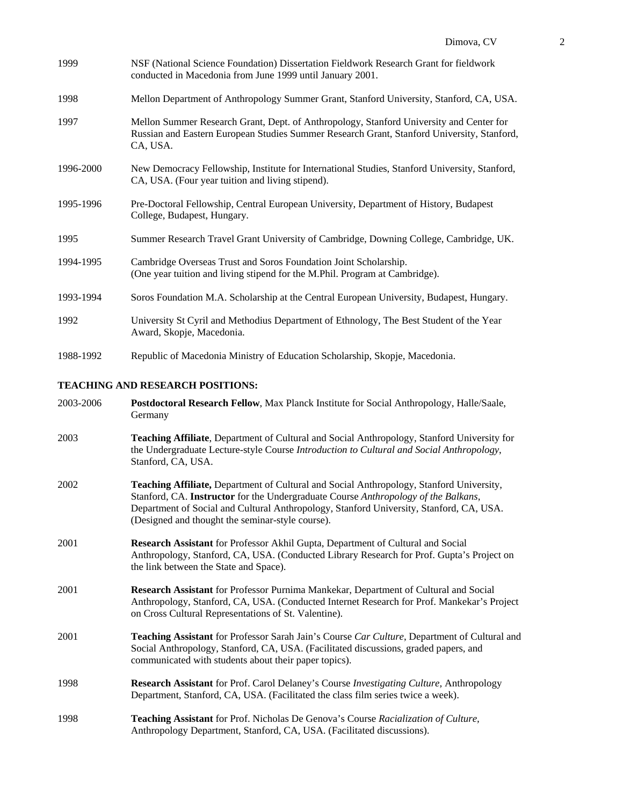| 1999                             | NSF (National Science Foundation) Dissertation Fieldwork Research Grant for fieldwork<br>conducted in Macedonia from June 1999 until January 2001.                                                            |  |
|----------------------------------|---------------------------------------------------------------------------------------------------------------------------------------------------------------------------------------------------------------|--|
| 1998                             | Mellon Department of Anthropology Summer Grant, Stanford University, Stanford, CA, USA.                                                                                                                       |  |
| 1997                             | Mellon Summer Research Grant, Dept. of Anthropology, Stanford University and Center for<br>Russian and Eastern European Studies Summer Research Grant, Stanford University, Stanford,<br>CA, USA.             |  |
| 1996-2000                        | New Democracy Fellowship, Institute for International Studies, Stanford University, Stanford,<br>CA, USA. (Four year tuition and living stipend).                                                             |  |
| 1995-1996                        | Pre-Doctoral Fellowship, Central European University, Department of History, Budapest<br>College, Budapest, Hungary.                                                                                          |  |
| 1995                             | Summer Research Travel Grant University of Cambridge, Downing College, Cambridge, UK.                                                                                                                         |  |
| 1994-1995                        | Cambridge Overseas Trust and Soros Foundation Joint Scholarship.<br>(One year tuition and living stipend for the M.Phil. Program at Cambridge).                                                               |  |
| 1993-1994                        | Soros Foundation M.A. Scholarship at the Central European University, Budapest, Hungary.                                                                                                                      |  |
| 1992                             | University St Cyril and Methodius Department of Ethnology, The Best Student of the Year<br>Award, Skopje, Macedonia.                                                                                          |  |
| 1988-1992                        | Republic of Macedonia Ministry of Education Scholarship, Skopje, Macedonia.                                                                                                                                   |  |
| TEACHING AND RESEARCH POSITIONS: |                                                                                                                                                                                                               |  |
| 2003-2006                        | Postdoctoral Research Fellow, Max Planck Institute for Social Anthropology, Halle/Saale,<br>Germany                                                                                                           |  |
| 2003                             | Teaching Affiliate, Department of Cultural and Social Anthropology, Stanford University for<br>the Undergraduate Lecture-style Course Introduction to Cultural and Social Anthropology,<br>Stanford, CA, USA. |  |

- 2002 **Teaching Affiliate,** Department of Cultural and Social Anthropology, Stanford University, Stanford, CA. **Instructor** for the Undergraduate Course *Anthropology of the Balkans*, Department of Social and Cultural Anthropology, Stanford University, Stanford, CA, USA. (Designed and thought the seminar-style course).
- 2001 **Research Assistant** for Professor Akhil Gupta, Department of Cultural and Social Anthropology, Stanford, CA, USA. (Conducted Library Research for Prof. Gupta's Project on the link between the State and Space).
- 2001 **Research Assistant** for Professor Purnima Mankekar, Department of Cultural and Social Anthropology, Stanford, CA, USA. (Conducted Internet Research for Prof. Mankekar's Project on Cross Cultural Representations of St. Valentine).
- 2001 **Teaching Assistant** for Professor Sarah Jain's Course *Car Culture*, Department of Cultural and Social Anthropology, Stanford, CA, USA. (Facilitated discussions, graded papers, and communicated with students about their paper topics).
- 1998 **Research Assistant** for Prof. Carol Delaney's Course *Investigating Culture,* Anthropology Department, Stanford, CA, USA. (Facilitated the class film series twice a week).
- 1998 **Teaching Assistant** for Prof. Nicholas De Genova's Course *Racialization of Culture,*  Anthropology Department, Stanford, CA, USA. (Facilitated discussions).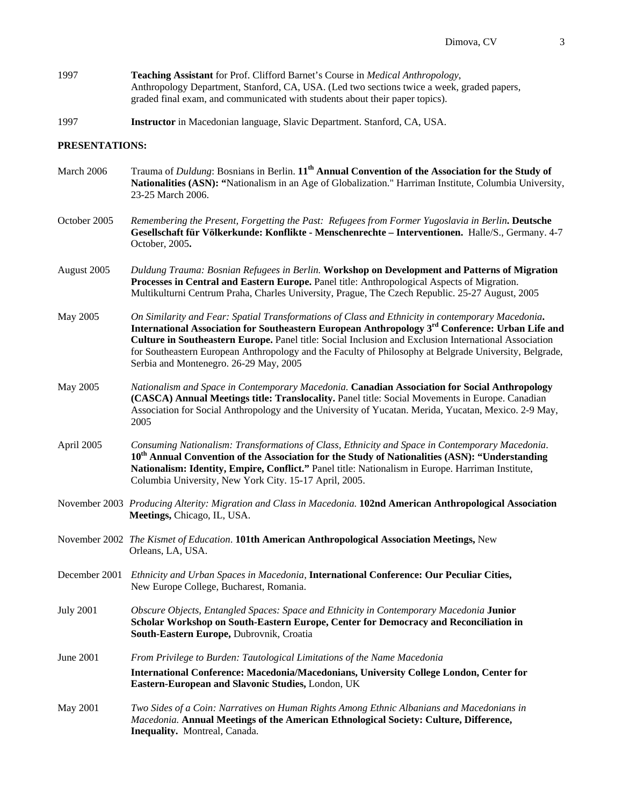- 1997 **Teaching Assistant** for Prof. Clifford Barnet's Course in *Medical Anthropology*, Anthropology Department, Stanford, CA, USA. (Led two sections twice a week, graded papers, graded final exam, and communicated with students about their paper topics).
- 1997 **Instructor** in Macedonian language, Slavic Department. Stanford, CA, USA.

#### **PRESENTATIONS:**

| March 2006       | Trauma of Duldung: Bosnians in Berlin. 11 <sup>th</sup> Annual Convention of the Association for the Study of<br>Nationalities (ASN): "Nationalism in an Age of Globalization." Harriman Institute, Columbia University,<br>23-25 March 2006.                                                                                                                                                                                                                     |
|------------------|-------------------------------------------------------------------------------------------------------------------------------------------------------------------------------------------------------------------------------------------------------------------------------------------------------------------------------------------------------------------------------------------------------------------------------------------------------------------|
| October 2005     | Remembering the Present, Forgetting the Past: Refugees from Former Yugoslavia in Berlin. Deutsche<br>Gesellschaft für Völkerkunde: Konflikte - Menschenrechte - Interventionen. Halle/S., Germany. 4-7<br>October, 2005.                                                                                                                                                                                                                                          |
| August 2005      | Duldung Trauma: Bosnian Refugees in Berlin. Workshop on Development and Patterns of Migration<br>Processes in Central and Eastern Europe. Panel title: Anthropological Aspects of Migration.<br>Multikulturni Centrum Praha, Charles University, Prague, The Czech Republic. 25-27 August, 2005                                                                                                                                                                   |
| May 2005         | On Similarity and Fear: Spatial Transformations of Class and Ethnicity in contemporary Macedonia.<br>International Association for Southeastern European Anthropology 3rd Conference: Urban Life and<br>Culture in Southeastern Europe. Panel title: Social Inclusion and Exclusion International Association<br>for Southeastern European Anthropology and the Faculty of Philosophy at Belgrade University, Belgrade,<br>Serbia and Montenegro. 26-29 May, 2005 |
| May 2005         | Nationalism and Space in Contemporary Macedonia. Canadian Association for Social Anthropology<br>(CASCA) Annual Meetings title: Translocality. Panel title: Social Movements in Europe. Canadian<br>Association for Social Anthropology and the University of Yucatan. Merida, Yucatan, Mexico. 2-9 May,<br>2005                                                                                                                                                  |
| April 2005       | Consuming Nationalism: Transformations of Class, Ethnicity and Space in Contemporary Macedonia.<br>10 <sup>th</sup> Annual Convention of the Association for the Study of Nationalities (ASN): "Understanding<br>Nationalism: Identity, Empire, Conflict." Panel title: Nationalism in Europe. Harriman Institute,<br>Columbia University, New York City. 15-17 April, 2005.                                                                                      |
|                  | November 2003 Producing Alterity: Migration and Class in Macedonia. 102nd American Anthropological Association<br>Meetings, Chicago, IL, USA.                                                                                                                                                                                                                                                                                                                     |
|                  | November 2002 The Kismet of Education. 101th American Anthropological Association Meetings, New<br>Orleans, LA, USA.                                                                                                                                                                                                                                                                                                                                              |
|                  | December 2001 Ethnicity and Urban Spaces in Macedonia, International Conference: Our Peculiar Cities,<br>New Europe College, Bucharest, Romania.                                                                                                                                                                                                                                                                                                                  |
| <b>July 2001</b> | Obscure Objects, Entangled Spaces: Space and Ethnicity in Contemporary Macedonia Junior<br>Scholar Workshop on South-Eastern Europe, Center for Democracy and Reconciliation in<br>South-Eastern Europe, Dubrovnik, Croatia                                                                                                                                                                                                                                       |
| June 2001        | From Privilege to Burden: Tautological Limitations of the Name Macedonia                                                                                                                                                                                                                                                                                                                                                                                          |
|                  | International Conference: Macedonia/Macedonians, University College London, Center for<br>Eastern-European and Slavonic Studies, London, UK                                                                                                                                                                                                                                                                                                                       |
| May 2001         | Two Sides of a Coin: Narratives on Human Rights Among Ethnic Albanians and Macedonians in<br>Macedonia. Annual Meetings of the American Ethnological Society: Culture, Difference,<br>Inequality. Montreal, Canada.                                                                                                                                                                                                                                               |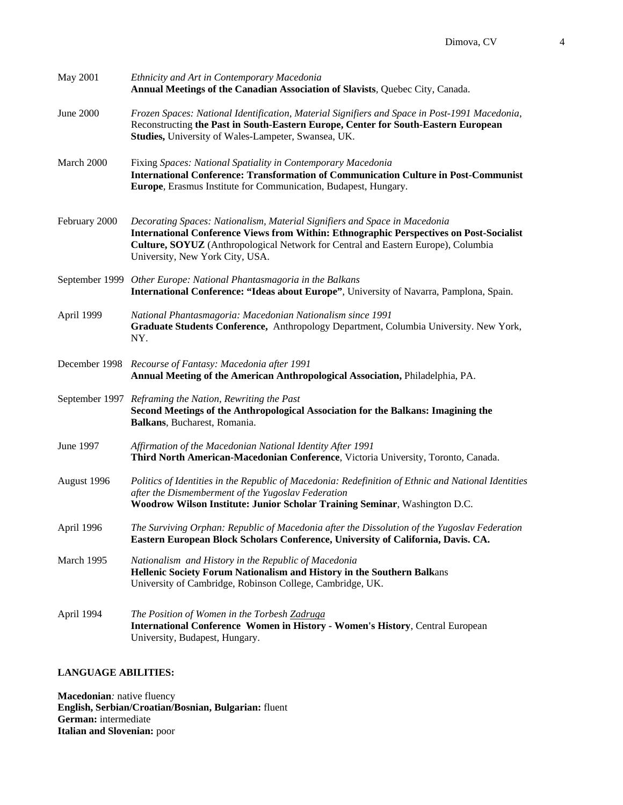| May 2001      | Ethnicity and Art in Contemporary Macedonia<br>Annual Meetings of the Canadian Association of Slavists, Quebec City, Canada.                                                                                                                                                                         |
|---------------|------------------------------------------------------------------------------------------------------------------------------------------------------------------------------------------------------------------------------------------------------------------------------------------------------|
| June 2000     | Frozen Spaces: National Identification, Material Signifiers and Space in Post-1991 Macedonia,<br>Reconstructing the Past in South-Eastern Europe, Center for South-Eastern European<br>Studies, University of Wales-Lampeter, Swansea, UK.                                                           |
| March 2000    | Fixing Spaces: National Spatiality in Contemporary Macedonia<br>International Conference: Transformation of Communication Culture in Post-Communist<br>Europe, Erasmus Institute for Communication, Budapest, Hungary.                                                                               |
| February 2000 | Decorating Spaces: Nationalism, Material Signifiers and Space in Macedonia<br><b>International Conference Views from Within: Ethnographic Perspectives on Post-Socialist</b><br>Culture, SOYUZ (Anthropological Network for Central and Eastern Europe), Columbia<br>University, New York City, USA. |
|               | September 1999 Other Europe: National Phantasmagoria in the Balkans<br>International Conference: "Ideas about Europe", University of Navarra, Pamplona, Spain.                                                                                                                                       |
| April 1999    | National Phantasmagoria: Macedonian Nationalism since 1991<br>Graduate Students Conference, Anthropology Department, Columbia University. New York,<br>NY.                                                                                                                                           |
|               | December 1998 Recourse of Fantasy: Macedonia after 1991<br>Annual Meeting of the American Anthropological Association, Philadelphia, PA.                                                                                                                                                             |
|               | September 1997 Reframing the Nation, Rewriting the Past<br>Second Meetings of the Anthropological Association for the Balkans: Imagining the<br>Balkans, Bucharest, Romania.                                                                                                                         |
| June 1997     | Affirmation of the Macedonian National Identity After 1991<br>Third North American-Macedonian Conference, Victoria University, Toronto, Canada.                                                                                                                                                      |
| August 1996   | Politics of Identities in the Republic of Macedonia: Redefinition of Ethnic and National Identities<br>after the Dismemberment of the Yugoslav Federation<br>Woodrow Wilson Institute: Junior Scholar Training Seminar, Washington D.C.                                                              |
| April 1996    | The Surviving Orphan: Republic of Macedonia after the Dissolution of the Yugoslav Federation<br>Eastern European Block Scholars Conference, University of California, Davis. CA.                                                                                                                     |
| March 1995    | Nationalism and History in the Republic of Macedonia<br>Hellenic Society Forum Nationalism and History in the Southern Balkans<br>University of Cambridge, Robinson College, Cambridge, UK.                                                                                                          |
| April 1994    | The Position of Women in the Torbesh Zadruga<br><b>International Conference Women in History - Women's History, Central European</b><br>University, Budapest, Hungary.                                                                                                                               |

## **LANGUAGE ABILITIES:**

**Macedonian***:* native fluency **English, Serbian/Croatian/Bosnian, Bulgarian:** fluent **German:** intermediate **Italian and Slovenian:** poor